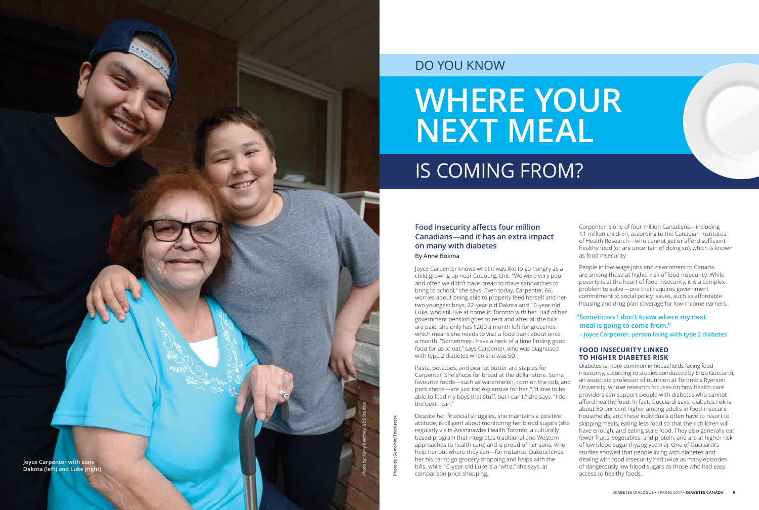## **Food insecurity affects four million Canadians—and it has an extra impact on many with diabetes** By Anne Bokma

Joyce Carpenter knows what it was like to go hungry as a child growing up near Cobourg, Ont. "We were very poor and often we didn't have bread to make sandwiches to bring to school," she says. Even today, Carpenter, 66, worries about being able to properly feed herself and her two youngest boys, 22-year-old Dakota and 10-year-old Luke, who still live at home in Toronto with her. Half of her government pension goes to rent and after all the bills are paid, she only has \$200 a month left for groceries, which means she needs to visit a food bank about once a month. "Sometimes I have a heck of a time finding good food for us to eat," says Carpenter, who was diagnosed with type 2 diabetes when she was 50.

Pasta, potatoes, and peanut butter are staples for Carpenter. She shops for bread at the dollar store. Some favourite foods—such as watermelon, corn on the cob, and pork chops—are just too expensive for her. "I'd love to be able to feed my boys that stuff, but I can't," she says. "I do the best I can."

Despite her financial struggles, she maintains a positive attitude, is diligent about monitoring her blood sugars (she regularly visits Anishnawbe Health Toronto, a culturally based program that integrates traditional and Western approaches to health care) and is proud of her sons, who help her out where they can—for instance, Dakota lends her his car to go grocery shopping and helps with the bills, while 10-year-old Luke is a "whiz," she says, at comparison price shopping.

Carpenter is one of four million Canadians—including 1.1 million children, according to the Canadian Institutes of Health Research—who cannot get or afford sufficient healthy food (or are uncertain of doing so), which is known as food insecurity.

People in low-wage jobs and newcomers to Canada are among those at higher risk of food insecurity. While poverty is at the heart of food insecurity, it is a complex problem to solve—one that requires government commitment to social policy issues, such as affordable housing and drug plan coverage for low-income earners.

## **FOOD INSECURITY LINKED TO HIGHER DIABETES RISK**

Diabetes is more common in households facing food insecurity, according to studies conducted by Enza Gucciardi, an associate professor of nutrition at Toronto's Ryerson University, whose research focuses on how health-care providers can support people with diabetes who cannot afford healthy food. In fact, Gucciardi says, diabetes risk is about 50 per cent higher among adults in food-insecure households, and these individuals often have to resort to skipping meals, eating less food so that their children will have enough, and eating stale food. They also generally eat fewer fruits, vegetables, and protein, and are at higher risk of low blood sugar (hypoglycemia). One of Gucciardi's studies showed that people living with diabetes and dealing with food insecurity had twice as many episodes of dangerously low blood sugars as those who had easy access to healthy foods.

## **"Sometimes I don't know where my next meal is going to come from." – Joyce Carpenter, person living with type 2 diabetes**

# **WHERE YOUR NEXT MEAL** IS COMING FROM?

## DO YOU KNOW



Photo by: Samohin/Thinkstock